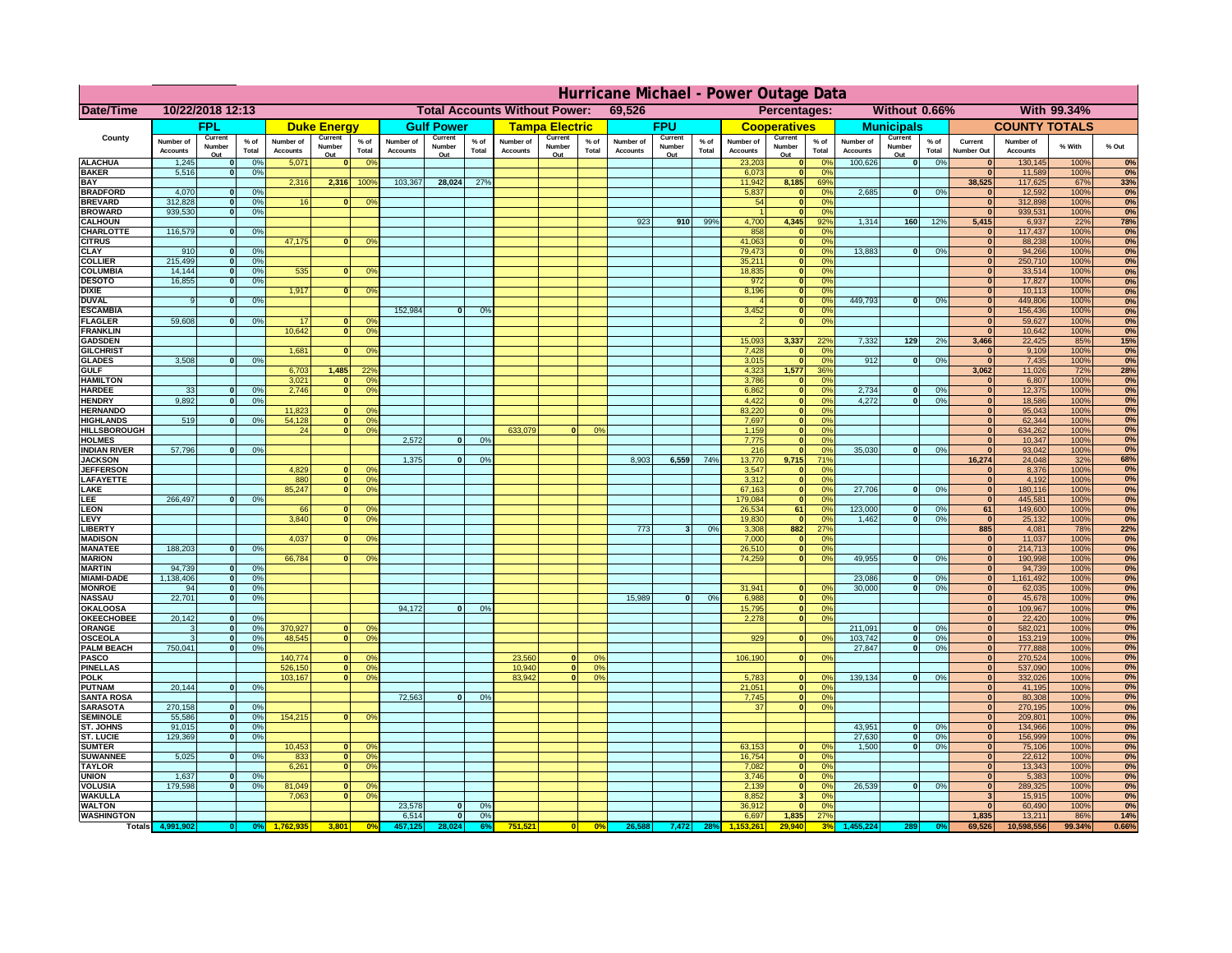|                                         | Hurricane Michael - Power Outage Data |                              |                      |                              |                     |                                                    |                              |                    |                |                              |                                              |                  |                       |                   |                 |                              |                      |                      |                              |                               |                 |                              |                              |              |           |
|-----------------------------------------|---------------------------------------|------------------------------|----------------------|------------------------------|---------------------|----------------------------------------------------|------------------------------|--------------------|----------------|------------------------------|----------------------------------------------|------------------|-----------------------|-------------------|-----------------|------------------------------|----------------------|----------------------|------------------------------|-------------------------------|-----------------|------------------------------|------------------------------|--------------|-----------|
| Date/Time                               | 10/22/2018 12:13                      |                              |                      |                              |                     | <b>Total Accounts Without Power:</b><br>69,526     |                              |                    |                |                              | Without 0.66%<br>With 99.34%<br>Percentages: |                  |                       |                   |                 |                              |                      |                      |                              |                               |                 |                              |                              |              |           |
|                                         |                                       | FPL                          |                      |                              | <b>Duke Energy</b>  |                                                    |                              | <b>Gulf Power</b>  |                |                              | <b>Tampa Electric</b>                        |                  |                       | <b>FPU</b>        |                 |                              | <b>Cooperatives</b>  |                      |                              | <b>Municipals</b>             |                 |                              | <b>COUNTY TOTALS</b>         |              |           |
| County                                  | Number of<br><b>Accounts</b>          | Current<br>Number            | $%$ of<br>Total      | Number of<br><b>Accounts</b> | Current<br>Number   | $%$ of<br>Total                                    | Number of<br><b>Accounts</b> | Current<br>Number  | % of<br>Total  | Number of<br><b>Accounts</b> | Current<br>Number                            | $%$ of<br>Total  | Number of<br>Accounts | Current<br>Number | $%$ of<br>Total | Number of<br><b>Accounts</b> | Current<br>Number    | $%$ of<br>Total      | Number of<br><b>Accounts</b> | Current<br>Number             | $%$ of<br>Total | Current<br><b>Number Out</b> | Number of<br><b>Accounts</b> | % With       | % Out     |
| <b>ALACHUA</b>                          | 1,245                                 | Out<br>$\mathbf{0}$          | 0%                   | 5,071                        | Out<br>$\mathbf{0}$ | 0 <sup>9</sup>                                     |                              | Out                |                |                              | Out                                          |                  |                       | Out               |                 | 23,203                       | Out<br> 0            | 0 <sup>9</sup>       | 100,626                      | Out<br> 0                     | 0%              | $\bf{0}$                     | 130,145                      | 100%         | 0%        |
| <b>BAKER</b>                            | 5,516                                 | 0                            | 0%                   |                              |                     |                                                    |                              |                    |                |                              |                                              |                  |                       |                   |                 | 6,073                        | 0                    | 0%                   |                              |                               |                 | $\mathbf{0}$                 | 11,589                       | 100%         | 0%        |
| <b>BAY</b><br><b>BRADFORD</b>           | 4,070                                 | $\mathbf{0}$                 | 0%                   | 2,316                        | 2,316               | 100%                                               | 103,367                      | 28,024             | 27%            |                              |                                              |                  |                       |                   |                 | 11,942<br>5,837              | 8,185<br> 0          | 69%<br>0%            | 2,685                        | 0                             | 0%              | 38,525<br>$\bf{0}$           | 117,625<br>12,592            | 67%<br>100%  | 33%<br>0% |
| <b>BREVARD</b>                          | 312,828                               | 0                            | 0%                   | 16                           | $\mathbf{0}$        | 0 <sup>o</sup>                                     |                              |                    |                |                              |                                              |                  |                       |                   |                 | 54                           | 0                    | 0%                   |                              |                               |                 | $\mathbf{0}$                 | 312,898                      | 100%         | 0%        |
| <b>BROWARD</b><br><b>CALHOUN</b>        | 939.530                               | 0                            | 0%                   |                              |                     |                                                    |                              |                    |                |                              |                                              |                  | 923                   | 910               | 99%             | 4,700                        | 0 <br>4,345          | 0%<br>92%            | 1,314                        | 160                           | 12%             | $\bf{0}$<br>5,415            | 939,531<br>6,937             | 100%<br>22%  | 0%<br>78% |
| CHARLOTTE                               | 116,579                               | 0                            | 0%                   |                              |                     |                                                    |                              |                    |                |                              |                                              |                  |                       |                   |                 | 858                          | 0                    | 0%                   |                              |                               |                 |                              | 117,437                      | 100%         | 0%        |
| <b>CITRUS</b>                           |                                       |                              |                      | 47,175                       | $\mathbf{0}$        | 0 <sup>o</sup>                                     |                              |                    |                |                              |                                              |                  |                       |                   |                 | 41,063                       | 0                    | 0 <sup>9</sup>       |                              |                               |                 | $\bf{0}$                     | 88,238                       | 100%         | 0%        |
| <b>CLAY</b><br><b>COLLIER</b>           | 910<br>215,499                        | $\mathbf{0}$<br>$\mathbf{0}$ | 0%<br>0 <sup>9</sup> |                              |                     |                                                    |                              |                    |                |                              |                                              |                  |                       |                   |                 | 79,473<br>35,211             | 0 <br> 0             | 0 <sup>9</sup><br>0% | 13,883                       | $\mathbf{0}$                  | 0%              | $\bf{0}$<br>$\bf{0}$         | 94,266<br>250,710            | 100%<br>100% | 0%<br>0%  |
| <b>COLUMBIA</b>                         | 14,144                                | $\mathbf 0$                  | 0%                   | 535                          | $\mathbf{0}$        | 0 <sup>9</sup>                                     |                              |                    |                |                              |                                              |                  |                       |                   |                 | 18,835                       | 0                    | 0%                   |                              |                               |                 | $\bf{0}$                     | 33,514                       | 100%         | 0%        |
| <b>DESOTO</b><br><b>DIXIE</b>           | 16,855                                | $\mathbf{0}$                 | 0%                   | 1,917                        | $\Omega$            | 0 <sup>9</sup>                                     |                              |                    |                |                              |                                              |                  |                       |                   |                 | 972<br>8,196                 | 0 <br> 0             | 0%<br>0%             |                              |                               |                 | $\bf{0}$<br>$\Omega$         | 17,827<br>10,113             | 100%<br>100% | 0%<br>0%  |
| <b>DUVAL</b>                            | 9                                     | $\Omega$                     | 0%                   |                              |                     |                                                    |                              |                    |                |                              |                                              |                  |                       |                   |                 |                              | 0                    | 0%                   | 449.793                      | $\overline{0}$                | 0%              | $\Omega$                     | 449,806                      | 100%         | 0%        |
| <b>ESCAMBIA</b>                         | 59,608                                |                              |                      | 17                           |                     |                                                    | 152,984                      | $\mathbf{0}$       | 0 <sup>o</sup> |                              |                                              |                  |                       |                   |                 | 3,452                        | 0                    | 0%<br>0%             |                              |                               |                 | $\Omega$                     | 156,436                      | 100%         | 0%        |
| <b>FLAGLER</b><br><b>FRANKLIN</b>       |                                       | $\overline{0}$               | 0%                   | 10,642                       | $\bf{0}$<br> 0      | 0 <sup>o</sup><br>0 <sup>9</sup>                   |                              |                    |                |                              |                                              |                  |                       |                   |                 |                              | 0                    |                      |                              |                               |                 | $\mathbf{0}$<br>$\Omega$     | 59,627<br>10,642             | 100%<br>100% | 0%<br>0%  |
| <b>GADSDEN</b>                          |                                       |                              |                      |                              |                     |                                                    |                              |                    |                |                              |                                              |                  |                       |                   |                 | 15,093                       | 3,337                | 22%                  | 7,332                        | 129                           | 2%              | 3,466                        | 22,425                       | 85%          | 15%       |
| <b>GILCHRIST</b><br><b>GLADES</b>       | 3,508                                 | 0                            | 0%                   | 1,681                        | $\mathbf{0}$        | 0 <sup>9</sup>                                     |                              |                    |                |                              |                                              |                  |                       |                   |                 | 7,428<br>3,015               | 0 <br> 0             | 0%<br>0%             | 912                          | $\overline{0}$                | 0%              | $\mathbf{0}$<br> 0           | 9,109<br>7,435               | 100%<br>100% | 0%<br>0%  |
| <b>GULF</b>                             |                                       |                              |                      | 6,703                        | 1,485               | 22 <sup>o</sup>                                    |                              |                    |                |                              |                                              |                  |                       |                   |                 | 4,323                        | 1,577                | 36%                  |                              |                               |                 | 3,062                        | 11,026                       | 72%          | 28%       |
| <b>HAMILTON</b><br><b>HARDEE</b>        | 33                                    | $\overline{0}$               | 0%                   | 3,021<br>2.746               | $\Omega$            | 0 <sup>9</sup><br>$\overline{0}$<br>0 <sup>9</sup> |                              |                    |                |                              |                                              |                  |                       |                   |                 | 3,786<br>6.862               | 0 <br>$\overline{0}$ | 0%<br>0%             | 2.734                        | $\mathbf{0}$                  | 0%              | $\Omega$<br> 0               | 6,807<br>12,375              | 100%<br>100% | 0%        |
| <b>HENDRY</b>                           | 9,892                                 | $\Omega$                     | 0%                   |                              |                     |                                                    |                              |                    |                |                              |                                              |                  |                       |                   |                 | 4,422                        | 0                    | 0%                   | 4,272                        | $\Omega$                      | 0%              | 0                            | 18,586                       | 100%         | 0%<br>0%  |
| <b>HERNANDO</b>                         |                                       |                              |                      | 11,823                       | $\mathbf{0}$        | 0 <sup>9</sup>                                     |                              |                    |                |                              |                                              |                  |                       |                   |                 | 83,220                       | 0                    | 0%                   |                              |                               |                 | $\mathbf{0}$                 | 95,043                       | 100%         | 0%        |
| <b>HIGHLANDS</b><br><b>HILLSBOROUGH</b> | 519                                   | $\mathbf{0}$                 | 0 <sup>9</sup>       | 54,128<br>24                 | 0                   | 0 <br>0 <sup>9</sup><br>0 <sup>9</sup>             |                              |                    |                | 633,079                      |                                              | 0%               |                       |                   |                 | 7,697<br>1,159               | 0 <br> 0             | 0%<br>0%             |                              |                               |                 | $\mathbf{0}$<br>$\mathbf{0}$ | 62,344<br>634,262            | 100%<br>100% | 0%<br>0%  |
| <b>HOLMES</b>                           |                                       |                              |                      |                              |                     |                                                    | 2.572                        | $\mathbf{0}$       | 0%             |                              |                                              |                  |                       |                   |                 | 7,775                        | 0                    | 0%                   |                              |                               |                 | $\mathbf{0}$                 | 10,347                       | 100%         | 0%        |
| <b>INDIAN RIVER</b><br><b>JACKSON</b>   | 57,796                                | $\mathbf{0}$                 | 0%                   |                              |                     |                                                    | 1.375                        | $\mathbf{0}$       | 0 <sup>9</sup> |                              |                                              |                  | 8.903                 | 6,559             | 74%             | 216<br>13,770                | 0 <br>9.715          | 0%<br>71%            | 35,030                       | $\mathbf{0}$                  | 0%              | $\mathbf{0}$<br>16.274       | 93,042                       | 100%<br>32%  | 0%<br>68% |
| <b>JEFFERSON</b>                        |                                       |                              |                      | 4.829                        | n l                 | 0 <sup>9</sup>                                     |                              |                    |                |                              |                                              |                  |                       |                   |                 | 3.547                        | 0                    | 0%                   |                              |                               |                 | 0                            | 24,048<br>8.376              | 100%         | 0%        |
| LAFAYETTE                               |                                       |                              |                      | 880                          |                     | 0 <br>0 <sup>9</sup>                               |                              |                    |                |                              |                                              |                  |                       |                   |                 | 3.312                        | 0                    | 0%                   |                              |                               |                 | 0                            | 4.192                        | 100%         | 0%        |
| LAKE<br>EE.                             | 266,497                               | 0                            | 0%                   | 85,247                       |                     | $\mathbf{0}$<br>0 <sup>9</sup>                     |                              |                    |                |                              |                                              |                  |                       |                   |                 | 67,163<br>179,084            | 0 <br> 0             | 0%<br>0%             | 27,706                       | $\Omega$                      | 0%              | 0 <br> 0                     | 180,116<br>445,581           | 100%<br>100% | 0%<br>0%  |
| LEON                                    |                                       |                              |                      | 66                           | $\mathbf{0}$        | 0 <sup>o</sup>                                     |                              |                    |                |                              |                                              |                  |                       |                   |                 | 26,534                       | 61                   | 0%                   | 123,000                      | $\mathbf{0}$                  | 0%              | 61                           | 149,600                      | 100%         | 0%        |
| LEVY<br><b>LIBERTY</b>                  |                                       |                              |                      | 3,840                        | $\Omega$            | 0 <sup>9</sup>                                     |                              |                    |                |                              |                                              |                  | 773                   | $\mathbf{3}$      | 0%              | 19,830<br>3,308              | 0 <br>882            | 0%<br>27%            | 1,462                        | -ol                           | 0%              | 0 <br>885                    | 25,132<br>4,081              | 100%<br>78%  | 0%<br>22% |
| <b>MADISON</b>                          |                                       |                              |                      | 4,037                        | $\Omega$            | 0 <sup>9</sup>                                     |                              |                    |                |                              |                                              |                  |                       |                   |                 | 7,000                        | 0                    | 0%                   |                              |                               |                 | 0                            | 11,037                       | 100%         | 0%        |
| <b>MANATEE</b>                          | 188,203                               | $\mathbf{0}$                 | 0%                   |                              |                     |                                                    |                              |                    |                |                              |                                              |                  |                       |                   |                 | 26,510                       | 0                    | 0%                   |                              |                               |                 | 0                            | 214,713                      | 100%         | 0%        |
| <b>MARION</b><br><b>MARTIN</b>          | 94,739                                | 0                            | 0%                   | 66,784                       | 0                   | 0 <sup>9</sup>                                     |                              |                    |                |                              |                                              |                  |                       |                   |                 | 74,259                       | 0                    | 0%                   | 49,955                       | $\Omega$                      | 0%              | 0 <br> 0                     | 190,998<br>94,739            | 100%<br>100% | 0%<br>0%  |
| <b>MIAMI-DADE</b>                       | 1,138,406                             | 0                            | 0%                   |                              |                     |                                                    |                              |                    |                |                              |                                              |                  |                       |                   |                 |                              |                      |                      | 23,086                       | $\mathbf{0}$                  | 0%              | 0                            | 1,161,492                    | 100%         | 0%        |
| <b>MONROE</b><br><b>NASSAU</b>          | 94<br>22,701                          | 0 <br> 0                     | 0%<br>0%             |                              |                     |                                                    |                              |                    |                |                              |                                              |                  | 15,989                | 0                 | 0%              | 31,941<br>6,988              | $\overline{0}$<br> 0 | 0 <sup>9</sup><br>0% | 30,000                       | 0                             | 0%              | 0 <br> 0                     | 62,035<br>45,678             | 100%<br>100% | 0%<br>0%  |
| <b>OKALOOSA</b>                         |                                       |                              |                      |                              |                     |                                                    | 94,172                       | $\mathbf{0}$       | 0%             |                              |                                              |                  |                       |                   |                 | 15,795                       | 0                    | 0%                   |                              |                               |                 | 0                            | 109,967                      | 100%         | 0%        |
| <b>OKEECHOBEE</b>                       | 20,142                                | 0                            | 0%                   |                              |                     |                                                    |                              |                    |                |                              |                                              |                  |                       |                   |                 | 2,278                        |                      | 0%<br> 0             |                              |                               |                 | 0                            | 22,420                       | 100%         | 0%        |
| ORANGE<br><b>OSCEOLA</b>                | 3<br>3                                | 0 <br> 0                     | 0%<br>0%             | 370,927<br>48,545            |                     | 0 <br>0 <sup>o</sup><br>0 <sup>9</sup><br> 0       |                              |                    |                |                              |                                              |                  |                       |                   |                 | 929                          |                      | 0 <br>0%             | 211,091<br>103,742           | $\overline{\mathbf{0}}$<br> 0 | 0%<br>0%        | 0 <br> 0                     | 582,021<br>153,219           | 100%<br>100% | 0%<br>0%  |
| <b>PALM BEACH</b>                       | 750,041                               | 0                            | 0%                   |                              |                     |                                                    |                              |                    |                |                              |                                              |                  |                       |                   |                 |                              |                      |                      | 27,847                       | $\overline{\mathbf{0}}$       | 0%              | 0                            | 777,888                      | 100%         | 0%        |
| PASCO<br><b>PINELLAS</b>                |                                       |                              |                      | 140,774<br>526,150           | $\Omega$            | $^{\circ}$<br>0 <sup>9</sup><br> 0                 |                              |                    |                | 23,560<br>10,940             | $\Omega$<br> 0                               | $^{\circ}$<br>0% |                       |                   |                 | 106,190                      |                      | 0 <br>0%             |                              |                               |                 | 0 <br>$\Omega$               | 270,524<br>537,090           | 100%<br>100% | 0%<br>0%  |
| <b>POLK</b>                             |                                       |                              |                      | 103,167                      |                     | 0 <sup>9</sup><br> 0                               |                              |                    |                | 83,942                       | $\mathbf{a}$                                 | 0%               |                       |                   |                 | 5,783                        | 0                    | $\Omega$             | 139,134                      | 0                             | 0%              | 0                            | 332,026                      | 100%         | 0%        |
| <b>PUTNAM</b>                           | 20,144                                | 0                            | 0%                   |                              |                     |                                                    |                              |                    |                |                              |                                              |                  |                       |                   |                 | 21,051                       | $\ddot{\textbf{0}}$  | 0%                   |                              |                               |                 | $\bf{0}$                     | 41,195                       | 100%         | 0%        |
| <b>SANTA ROSA</b><br><b>SARASOTA</b>    | 270,158                               | 0                            | 0%                   |                              |                     |                                                    | 72,563                       | 0                  | 0%             |                              |                                              |                  |                       |                   |                 | 7,745<br>37                  | 0                    | 0%<br> 0 <br>0%      |                              |                               |                 | $\mathbf{0}$<br>$\mathbf{0}$ | 80,308<br>270,195            | 100%<br>100% | 0%<br>0%  |
| <b>SEMINOLE</b>                         | 55,586                                | 0                            | 0%                   | 154,215                      |                     | $\mathbf{0}$<br>0 <sup>9</sup>                     |                              |                    |                |                              |                                              |                  |                       |                   |                 |                              |                      |                      |                              |                               |                 | $\mathbf{0}$                 | 209,801                      | 100%         | 0%        |
| <b>ST. JOHNS</b>                        | 91,015<br>129.369                     | 0                            | 0%                   |                              |                     |                                                    |                              |                    |                |                              |                                              |                  |                       |                   |                 |                              |                      |                      | 43,951<br>27.630             | -ol                           | 0%              | 0                            | 134,966<br>156,999           | 100%         | 0%<br>0%  |
| <b>ST. LUCIE</b><br><b>SUMTER</b>       |                                       | $\overline{0}$               | 0%                   | 10,453                       |                     | 0 <br>0 <sup>9</sup>                               |                              |                    |                |                              |                                              |                  |                       |                   |                 | 63,153                       | 0                    | 0%                   | 1.500                        | - O I<br>0                    | 0%<br>0%        | 0 <br> 0                     | 75,106                       | 100%<br>100% | 0%        |
| <b>SUWANNEE</b>                         | 5,025                                 | 0                            | 0%                   | 833                          | 0                   | 0 <sup>o</sup>                                     |                              |                    |                |                              |                                              |                  |                       |                   |                 | 16,754                       | 0                    | 0%                   |                              |                               |                 | $\mathbf{0}$                 | 22,612                       | 100%         | 0%        |
| <b>TAYLOR</b><br><b>UNION</b>           | 1,637                                 | $\mathbf{0}$                 | 0%                   | 6,261                        |                     | 0 <br>0 <sup>9</sup>                               |                              |                    |                |                              |                                              |                  |                       |                   |                 | 7,082<br>3,746               | 0 <br> 0             | 0%<br>0%             |                              |                               |                 | $\bf{0}$<br>$\bf{0}$         | 13,343<br>5,383              | 100%<br>100% | 0%<br>0%  |
| <b>VOLUSIA</b>                          | 179,598                               | 0                            | 0%                   | 81,049                       | $\mathbf{0}$        | $\mathbf{0}$                                       |                              |                    |                |                              |                                              |                  |                       |                   |                 | 2,139                        | 0                    | 0%                   | 26,539                       | 0                             | 0%              | $\bf{0}$                     | 289,325                      | 100%         | 0%        |
| <b>WAKULLA</b>                          |                                       |                              |                      | 7,063                        | $\mathbf{0}$        | 0 <sup>9</sup>                                     |                              |                    |                |                              |                                              |                  |                       |                   |                 | 8,852                        | 3 <sup>l</sup>       | 0%                   |                              |                               |                 | 3                            | 15,915                       | 100%         | 0%        |
| <b>WALTON</b><br><b>WASHINGTON</b>      |                                       |                              |                      |                              |                     |                                                    | 23,578<br>6,514              | $\mathbf{0}$<br> 0 | 0%<br>0%       |                              |                                              |                  |                       |                   |                 | 36,912<br>6,697              | 0 <br>1,835          | 0%<br>27%            |                              |                               |                 | $\bf{0}$<br>1,835            | 60,490<br>13,211             | 100%<br>86%  | 0%<br>14% |
| <b>Totals</b>                           |                                       |                              |                      |                              | 3,801               | 0 <sup>6</sup>                                     |                              |                    |                | 751,521                      | 0                                            | 0%               | 26,588                | 7,472             | 28%             |                              | 29.940               | 3 <sup>o</sup>       |                              |                               |                 | 69,526                       | 10,598,556                   | 99.34%       | 0.66%     |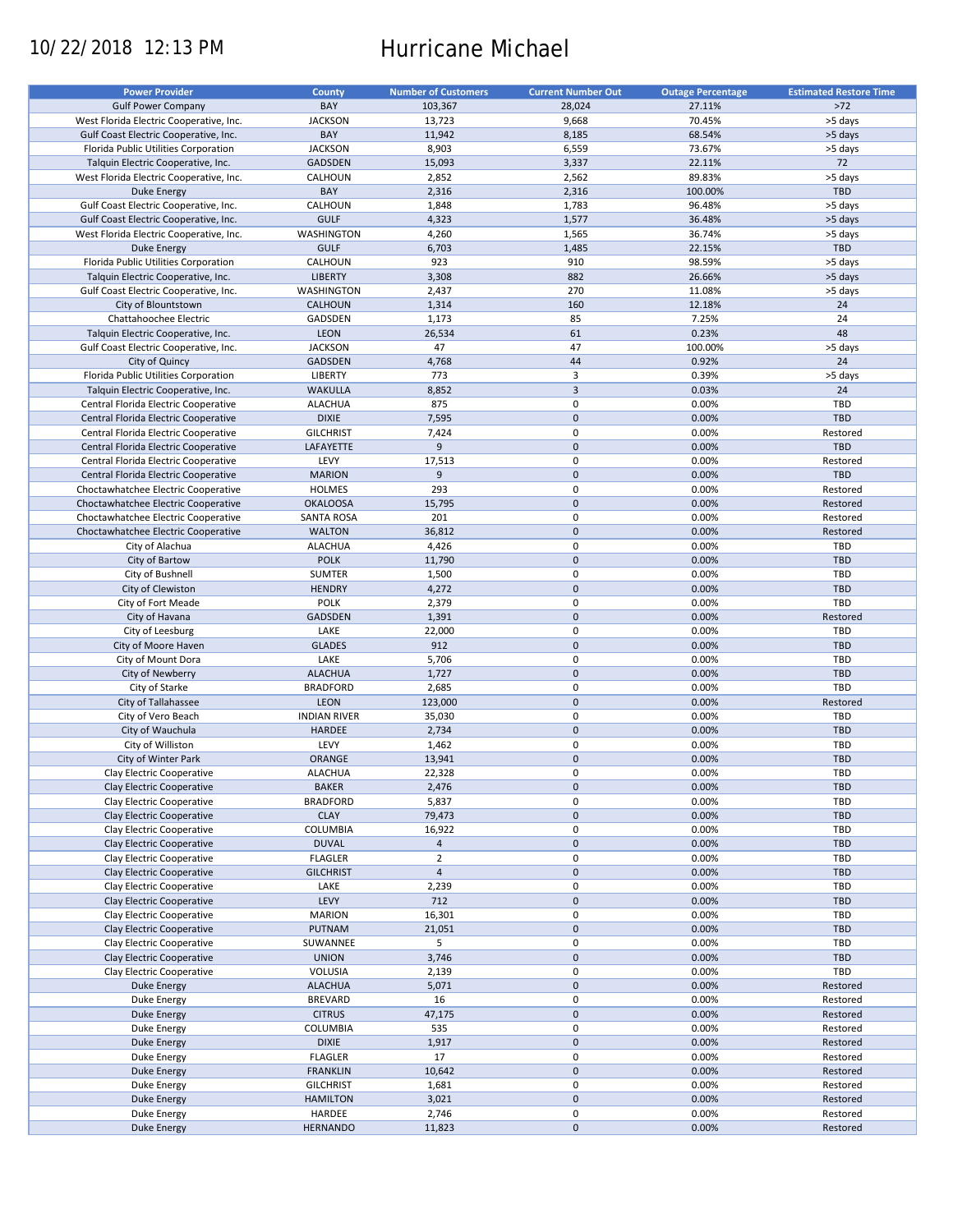# 10/22/2018 12:13 PM Hurricane Michael

| <b>Power Provider</b>                   | County              | <b>Number of Customers</b> | <b>Current Number Out</b> | <b>Outage Percentage</b> | <b>Estimated Restore Time</b> |
|-----------------------------------------|---------------------|----------------------------|---------------------------|--------------------------|-------------------------------|
| <b>Gulf Power Company</b>               | BAY                 | 103,367                    | 28,024                    | 27.11%                   | $>72$                         |
|                                         |                     |                            |                           |                          |                               |
| West Florida Electric Cooperative, Inc. | <b>JACKSON</b>      | 13,723                     | 9,668                     | 70.45%                   | >5 days                       |
| Gulf Coast Electric Cooperative, Inc.   | BAY                 | 11,942                     | 8,185                     | 68.54%                   | >5 days                       |
| Florida Public Utilities Corporation    | <b>JACKSON</b>      | 8,903                      | 6,559                     | 73.67%                   | >5 days                       |
| Talquin Electric Cooperative, Inc.      | <b>GADSDEN</b>      | 15,093                     | 3,337                     | 22.11%                   | 72                            |
| West Florida Electric Cooperative, Inc. | CALHOUN             | 2,852                      | 2,562                     | 89.83%                   | >5 days                       |
| Duke Energy                             | BAY                 | 2,316                      | 2,316                     | 100.00%                  | <b>TBD</b>                    |
| Gulf Coast Electric Cooperative, Inc.   | CALHOUN             | 1,848                      | 1,783                     | 96.48%                   | >5 days                       |
| Gulf Coast Electric Cooperative, Inc.   | <b>GULF</b>         | 4,323                      | 1,577                     | 36.48%                   | >5 days                       |
| West Florida Electric Cooperative, Inc. | WASHINGTON          | 4,260                      | 1,565                     | 36.74%                   | >5 days                       |
| Duke Energy                             | <b>GULF</b>         | 6,703                      | 1,485                     | 22.15%                   | TBD                           |
| Florida Public Utilities Corporation    | CALHOUN             | 923                        | 910                       | 98.59%                   | >5 days                       |
| Talquin Electric Cooperative, Inc.      | <b>LIBERTY</b>      | 3,308                      | 882                       | 26.66%                   | >5 days                       |
| Gulf Coast Electric Cooperative, Inc.   | WASHINGTON          | 2,437                      | 270                       | 11.08%                   | >5 days                       |
|                                         |                     |                            | 160                       |                          | 24                            |
| City of Blountstown                     | <b>CALHOUN</b>      | 1,314                      |                           | 12.18%                   |                               |
| Chattahoochee Electric                  | GADSDEN             | 1,173                      | 85                        | 7.25%                    | 24                            |
| Talquin Electric Cooperative, Inc.      | <b>LEON</b>         | 26,534                     | 61                        | 0.23%                    | 48                            |
| Gulf Coast Electric Cooperative, Inc.   | <b>JACKSON</b>      | 47                         | 47                        | 100.00%                  | >5 days                       |
| City of Quincy                          | GADSDEN             | 4,768                      | 44                        | 0.92%                    | 24                            |
| Florida Public Utilities Corporation    | LIBERTY             | 773                        | 3                         | 0.39%                    | >5 days                       |
| Talquin Electric Cooperative, Inc.      | <b>WAKULLA</b>      | 8,852                      | $\overline{\mathbf{3}}$   | 0.03%                    | 24                            |
| Central Florida Electric Cooperative    | <b>ALACHUA</b>      | 875                        | $\pmb{0}$                 | 0.00%                    | TBD                           |
| Central Florida Electric Cooperative    | <b>DIXIE</b>        | 7,595                      | $\pmb{0}$                 | 0.00%                    | <b>TBD</b>                    |
| Central Florida Electric Cooperative    | <b>GILCHRIST</b>    | 7,424                      | $\pmb{0}$                 | 0.00%                    | Restored                      |
| Central Florida Electric Cooperative    | LAFAYETTE           | 9                          | $\pmb{0}$                 | 0.00%                    | <b>TBD</b>                    |
| Central Florida Electric Cooperative    | LEVY                | 17,513                     | 0                         | 0.00%                    | Restored                      |
| Central Florida Electric Cooperative    | <b>MARION</b>       | 9                          | $\mathbf 0$               | 0.00%                    | <b>TBD</b>                    |
|                                         |                     |                            |                           |                          |                               |
| Choctawhatchee Electric Cooperative     | <b>HOLMES</b>       | 293                        | $\pmb{0}$                 | 0.00%                    | Restored                      |
| Choctawhatchee Electric Cooperative     | <b>OKALOOSA</b>     | 15,795                     | $\mathbf 0$               | 0.00%                    | Restored                      |
| Choctawhatchee Electric Cooperative     | <b>SANTA ROSA</b>   | 201                        | $\pmb{0}$                 | 0.00%                    | Restored                      |
| Choctawhatchee Electric Cooperative     | <b>WALTON</b>       | 36,812                     | $\mathbf 0$               | 0.00%                    | Restored                      |
| City of Alachua                         | <b>ALACHUA</b>      | 4,426                      | $\pmb{0}$                 | 0.00%                    | TBD                           |
| City of Bartow                          | <b>POLK</b>         | 11,790                     | $\mathbf 0$               | 0.00%                    | <b>TBD</b>                    |
| City of Bushnell                        | <b>SUMTER</b>       | 1,500                      | $\pmb{0}$                 | 0.00%                    | TBD                           |
| City of Clewiston                       | <b>HENDRY</b>       | 4,272                      | $\mathbf 0$               | 0.00%                    | <b>TBD</b>                    |
| City of Fort Meade                      | <b>POLK</b>         | 2,379                      | 0                         | 0.00%                    | TBD                           |
| City of Havana                          | GADSDEN             | 1,391                      | $\mathbf 0$               | 0.00%                    | Restored                      |
| City of Leesburg                        | LAKE                | 22,000                     | $\pmb{0}$                 | 0.00%                    | <b>TBD</b>                    |
| City of Moore Haven                     | <b>GLADES</b>       | 912                        | $\mathbf 0$               | 0.00%                    | <b>TBD</b>                    |
| City of Mount Dora                      | LAKE                | 5,706                      | 0                         | 0.00%                    | TBD                           |
| City of Newberry                        | <b>ALACHUA</b>      | 1,727                      | $\mathbf 0$               | 0.00%                    | TBD                           |
|                                         |                     |                            | 0                         | 0.00%                    | <b>TBD</b>                    |
| City of Starke                          | <b>BRADFORD</b>     | 2,685                      |                           |                          |                               |
| City of Tallahassee                     | LEON                | 123,000                    | $\mathbf 0$               | 0.00%                    | Restored                      |
| City of Vero Beach                      | <b>INDIAN RIVER</b> | 35,030                     | 0                         | 0.00%                    | <b>TBD</b>                    |
| City of Wauchula                        | HARDEE              | 2,734                      | $\mathbf 0$               | 0.00%                    | <b>TBD</b>                    |
| City of Williston                       | LEVY                | 1,462                      | $\pmb{0}$                 | 0.00%                    | TBD                           |
| City of Winter Park                     | ORANGE              | 13,941                     | $\mathbf 0$               | 0.00%                    | <b>TBD</b>                    |
| Clay Electric Cooperative               | <b>ALACHUA</b>      | 22,328                     | $\mathbf 0$               | 0.00%                    | <b>TBD</b>                    |
| Clay Electric Cooperative               | <b>BAKER</b>        | 2,476                      | $\pmb{0}$                 | 0.00%                    | TBD                           |
| Clay Electric Cooperative               | <b>BRADFORD</b>     | 5,837                      | 0                         | 0.00%                    | TBD                           |
| Clay Electric Cooperative               | <b>CLAY</b>         | 79,473                     | $\pmb{0}$                 | 0.00%                    | TBD                           |
| Clay Electric Cooperative               | COLUMBIA            | 16,922                     | 0                         | 0.00%                    | TBD                           |
| Clay Electric Cooperative               | <b>DUVAL</b>        | $\overline{a}$             | $\pmb{0}$                 | 0.00%                    | <b>TBD</b>                    |
| Clay Electric Cooperative               | <b>FLAGLER</b>      | $\overline{2}$             | 0                         | 0.00%                    | TBD                           |
| Clay Electric Cooperative               | <b>GILCHRIST</b>    | $\overline{4}$             | $\pmb{0}$                 | 0.00%                    | <b>TBD</b>                    |
| Clay Electric Cooperative               | LAKE                | 2,239                      | $\pmb{0}$                 | 0.00%                    | TBD                           |
|                                         |                     |                            |                           |                          |                               |
| Clay Electric Cooperative               | LEVY                | 712                        | $\pmb{0}$                 | 0.00%                    | TBD                           |
| Clay Electric Cooperative               | <b>MARION</b>       | 16,301                     | $\pmb{0}$                 | 0.00%                    | TBD                           |
| Clay Electric Cooperative               | PUTNAM              | 21,051                     | $\pmb{0}$                 | 0.00%                    | TBD                           |
| Clay Electric Cooperative               | SUWANNEE            | 5                          | 0                         | 0.00%                    | TBD                           |
| Clay Electric Cooperative               | <b>UNION</b>        | 3,746                      | $\pmb{0}$                 | 0.00%                    | TBD                           |
| Clay Electric Cooperative               | VOLUSIA             | 2,139                      | $\pmb{0}$                 | 0.00%                    | TBD                           |
| Duke Energy                             | <b>ALACHUA</b>      | 5,071                      | $\pmb{0}$                 | 0.00%                    | Restored                      |
| Duke Energy                             | <b>BREVARD</b>      | 16                         | 0                         | 0.00%                    | Restored                      |
| Duke Energy                             | <b>CITRUS</b>       | 47,175                     | $\pmb{0}$                 | 0.00%                    | Restored                      |
| Duke Energy                             | <b>COLUMBIA</b>     | 535                        | 0                         | 0.00%                    | Restored                      |
| Duke Energy                             | <b>DIXIE</b>        | 1,917                      | $\pmb{0}$                 | 0.00%                    | Restored                      |
| Duke Energy                             | <b>FLAGLER</b>      | 17                         | $\pmb{0}$                 | 0.00%                    | Restored                      |
| <b>Duke Energy</b>                      | <b>FRANKLIN</b>     | 10,642                     | $\pmb{0}$                 | 0.00%                    | Restored                      |
|                                         |                     |                            | $\pmb{0}$                 | 0.00%                    | Restored                      |
| Duke Energy                             | <b>GILCHRIST</b>    | 1,681                      |                           |                          |                               |
| <b>Duke Energy</b>                      | <b>HAMILTON</b>     | 3,021                      | $\pmb{0}$                 | 0.00%                    | Restored                      |
| Duke Energy                             | HARDEE              | 2,746                      | $\pmb{0}$                 | 0.00%                    | Restored                      |
| <b>Duke Energy</b>                      | <b>HERNANDO</b>     | 11,823                     | $\pmb{0}$                 | 0.00%                    | Restored                      |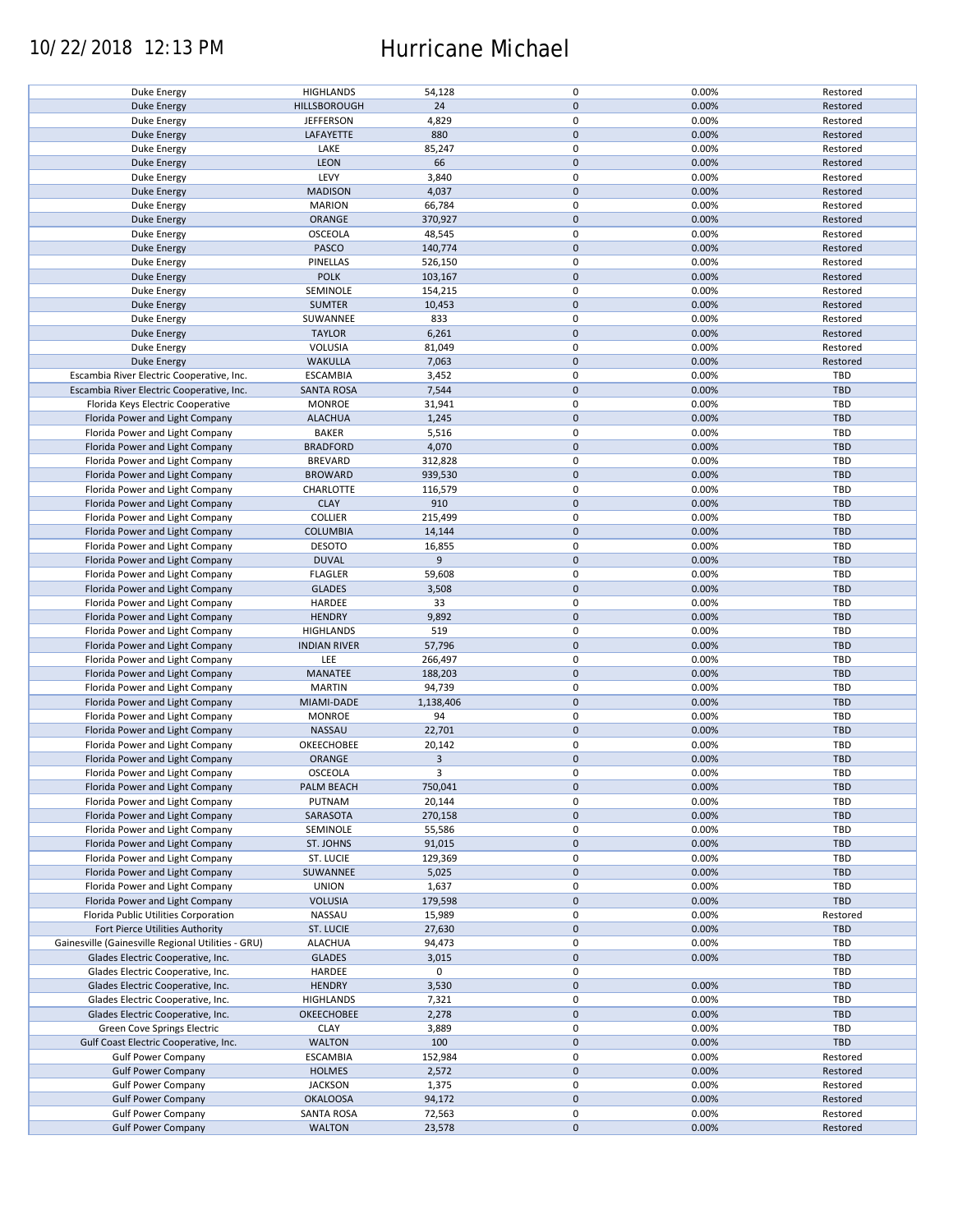### 10/22/2018 12:13 PM Hurricane Michael

| Duke Energy                                        | <b>HIGHLANDS</b>    | 54,128       | 0                   | 0.00% | Restored   |
|----------------------------------------------------|---------------------|--------------|---------------------|-------|------------|
| <b>Duke Energy</b>                                 | <b>HILLSBOROUGH</b> | 24           | $\mathbf 0$         | 0.00% | Restored   |
| Duke Energy                                        | <b>JEFFERSON</b>    | 4,829        | 0                   | 0.00% | Restored   |
| <b>Duke Energy</b>                                 | LAFAYETTE           | 880          | $\mathbf 0$         | 0.00% |            |
|                                                    |                     |              |                     |       | Restored   |
| Duke Energy                                        | LAKE                | 85,247       | 0                   | 0.00% | Restored   |
| <b>Duke Energy</b>                                 | <b>LEON</b>         | 66           | $\mathbf 0$         | 0.00% | Restored   |
| Duke Energy                                        | LEVY                | 3,840        | 0                   | 0.00% | Restored   |
|                                                    |                     |              |                     |       |            |
| <b>Duke Energy</b>                                 | <b>MADISON</b>      | 4,037        | $\mathbf 0$         | 0.00% | Restored   |
| Duke Energy                                        | <b>MARION</b>       | 66,784       | 0                   | 0.00% | Restored   |
| <b>Duke Energy</b>                                 | ORANGE              | 370,927      | $\mathbf 0$         | 0.00% | Restored   |
|                                                    |                     |              | 0                   |       |            |
| Duke Energy                                        | <b>OSCEOLA</b>      | 48,545       |                     | 0.00% | Restored   |
| Duke Energy                                        | PASCO               | 140,774      | $\mathbf 0$         | 0.00% | Restored   |
| Duke Energy                                        | PINELLAS            | 526,150      | 0                   | 0.00% | Restored   |
| Duke Energy                                        | <b>POLK</b>         | 103,167      | $\mathbf 0$         | 0.00% | Restored   |
|                                                    |                     |              |                     |       |            |
| Duke Energy                                        | SEMINOLE            | 154,215      | 0                   | 0.00% | Restored   |
| Duke Energy                                        | <b>SUMTER</b>       | 10,453       | $\mathbf 0$         | 0.00% | Restored   |
| Duke Energy                                        | SUWANNEE            | 833          | 0                   | 0.00% | Restored   |
|                                                    |                     |              | $\pmb{0}$           |       |            |
| <b>Duke Energy</b>                                 | <b>TAYLOR</b>       | 6,261        |                     | 0.00% | Restored   |
| Duke Energy                                        | VOLUSIA             | 81,049       | 0                   | 0.00% | Restored   |
| <b>Duke Energy</b>                                 | <b>WAKULLA</b>      | 7,063        | $\pmb{0}$           | 0.00% | Restored   |
| Escambia River Electric Cooperative, Inc.          | <b>ESCAMBIA</b>     | 3,452        | 0                   | 0.00% | TBD        |
|                                                    |                     |              |                     |       |            |
| Escambia River Electric Cooperative, Inc.          | <b>SANTA ROSA</b>   | 7,544        | $\pmb{0}$           | 0.00% | <b>TBD</b> |
| Florida Keys Electric Cooperative                  | <b>MONROE</b>       | 31,941       | $\pmb{0}$           | 0.00% | <b>TBD</b> |
| Florida Power and Light Company                    | <b>ALACHUA</b>      | 1,245        | $\mathbf 0$         | 0.00% | TBD        |
|                                                    |                     |              |                     |       |            |
| Florida Power and Light Company                    | <b>BAKER</b>        | 5,516        | 0                   | 0.00% | <b>TBD</b> |
| Florida Power and Light Company                    | <b>BRADFORD</b>     | 4,070        | $\mathbf 0$         | 0.00% | <b>TBD</b> |
| Florida Power and Light Company                    | <b>BREVARD</b>      | 312,828      | 0                   | 0.00% | <b>TBD</b> |
|                                                    |                     |              |                     |       |            |
| Florida Power and Light Company                    | <b>BROWARD</b>      | 939,530      | $\mathsf{O}\xspace$ | 0.00% | <b>TBD</b> |
| Florida Power and Light Company                    | CHARLOTTE           | 116,579      | 0                   | 0.00% | <b>TBD</b> |
| Florida Power and Light Company                    | <b>CLAY</b>         | 910          | $\pmb{0}$           | 0.00% | <b>TBD</b> |
|                                                    | <b>COLLIER</b>      |              | 0                   | 0.00% | <b>TBD</b> |
| Florida Power and Light Company                    |                     | 215,499      |                     |       |            |
| Florida Power and Light Company                    | <b>COLUMBIA</b>     | 14,144       | $\mathsf{O}\xspace$ | 0.00% | <b>TBD</b> |
| Florida Power and Light Company                    | <b>DESOTO</b>       | 16,855       | 0                   | 0.00% | <b>TBD</b> |
| Florida Power and Light Company                    | <b>DUVAL</b>        | 9            | $\pmb{0}$           | 0.00% | <b>TBD</b> |
|                                                    |                     |              |                     |       |            |
| Florida Power and Light Company                    | <b>FLAGLER</b>      | 59,608       | $\pmb{0}$           | 0.00% | <b>TBD</b> |
| Florida Power and Light Company                    | <b>GLADES</b>       | 3,508        | $\mathbf 0$         | 0.00% | <b>TBD</b> |
| Florida Power and Light Company                    | HARDEE              | 33           | 0                   | 0.00% | TBD        |
|                                                    |                     |              |                     |       |            |
| Florida Power and Light Company                    | <b>HENDRY</b>       | 9,892        | $\mathbf 0$         | 0.00% | <b>TBD</b> |
| Florida Power and Light Company                    | <b>HIGHLANDS</b>    | 519          | 0                   | 0.00% | TBD        |
| Florida Power and Light Company                    | <b>INDIAN RIVER</b> | 57,796       | $\pmb{0}$           | 0.00% | <b>TBD</b> |
|                                                    | LEE                 | 266,497      | 0                   | 0.00% | <b>TBD</b> |
| Florida Power and Light Company                    |                     |              |                     |       |            |
| Florida Power and Light Company                    | MANATEE             | 188,203      | $\mathbf 0$         | 0.00% | <b>TBD</b> |
| Florida Power and Light Company                    | <b>MARTIN</b>       | 94,739       | 0                   | 0.00% | <b>TBD</b> |
| Florida Power and Light Company                    | MIAMI-DADE          | 1,138,406    | $\mathbf 0$         | 0.00% | <b>TBD</b> |
|                                                    |                     |              |                     |       |            |
| Florida Power and Light Company                    | <b>MONROE</b>       | 94           | 0                   | 0.00% | TBD        |
| Florida Power and Light Company                    | NASSAU              | 22,701       | $\mathbf 0$         | 0.00% | <b>TBD</b> |
| Florida Power and Light Company                    | OKEECHOBEE          | 20,142       | $\pmb{0}$           | 0.00% | TBD        |
|                                                    |                     |              |                     |       |            |
| Florida Power and Light Company                    | ORANGE              | $\mathbf{3}$ | $\mathbf 0$         | 0.00% | <b>TBD</b> |
| Florida Power and Light Company                    | OSCEOLA             | 3            | 0                   | 0.00% | <b>TBD</b> |
| Florida Power and Light Company                    | PALM BEACH          | 750,041      | $\mathsf{O}\xspace$ | 0.00% | <b>TBD</b> |
|                                                    |                     |              |                     |       | <b>TBD</b> |
| Florida Power and Light Company                    | PUTNAM              | 20,144       | 0                   | 0.00% |            |
| Florida Power and Light Company                    | SARASOTA            | 270,158      | $\mathsf{O}\xspace$ | 0.00% | <b>TBD</b> |
| Florida Power and Light Company                    | SEMINOLE            | 55,586       | 0                   | 0.00% | <b>TBD</b> |
| Florida Power and Light Company                    | ST. JOHNS           | 91,015       | $\pmb{0}$           | 0.00% | <b>TBD</b> |
|                                                    |                     |              |                     |       |            |
| Florida Power and Light Company                    | ST. LUCIE           | 129,369      | 0                   | 0.00% | <b>TBD</b> |
| Florida Power and Light Company                    | SUWANNEE            | 5,025        | $\mathsf{O}\xspace$ | 0.00% | <b>TBD</b> |
| Florida Power and Light Company                    | <b>UNION</b>        | 1,637        | 0                   | 0.00% | TBD        |
|                                                    |                     |              |                     |       |            |
| Florida Power and Light Company                    | <b>VOLUSIA</b>      | 179,598      | $\mathsf{O}\xspace$ | 0.00% | <b>TBD</b> |
| Florida Public Utilities Corporation               | NASSAU              | 15,989       | 0                   | 0.00% | Restored   |
| Fort Pierce Utilities Authority                    | <b>ST. LUCIE</b>    | 27,630       | $\mathsf{O}\xspace$ | 0.00% | TBD        |
|                                                    |                     |              |                     |       |            |
| Gainesville (Gainesville Regional Utilities - GRU) | <b>ALACHUA</b>      | 94,473       | 0                   | 0.00% | <b>TBD</b> |
| Glades Electric Cooperative, Inc.                  | <b>GLADES</b>       | 3,015        | $\mathsf{O}\xspace$ | 0.00% | <b>TBD</b> |
| Glades Electric Cooperative, Inc.                  | HARDEE              | 0            | 0                   |       | TBD        |
| Glades Electric Cooperative, Inc.                  | <b>HENDRY</b>       | 3,530        | $\pmb{0}$           | 0.00% | <b>TBD</b> |
|                                                    |                     |              |                     |       |            |
| Glades Electric Cooperative, Inc.                  | <b>HIGHLANDS</b>    | 7,321        | 0                   | 0.00% | TBD        |
| Glades Electric Cooperative, Inc.                  | OKEECHOBEE          | 2,278        | $\mathbf 0$         | 0.00% | <b>TBD</b> |
| Green Cove Springs Electric                        | CLAY                | 3,889        | 0                   | 0.00% | TBD        |
|                                                    |                     |              |                     |       |            |
| Gulf Coast Electric Cooperative, Inc.              | <b>WALTON</b>       | 100          | $\pmb{0}$           | 0.00% | <b>TBD</b> |
| <b>Gulf Power Company</b>                          | <b>ESCAMBIA</b>     | 152,984      | 0                   | 0.00% | Restored   |
| <b>Gulf Power Company</b>                          | <b>HOLMES</b>       | 2,572        | $\pmb{0}$           | 0.00% | Restored   |
|                                                    |                     |              |                     |       |            |
| <b>Gulf Power Company</b>                          | <b>JACKSON</b>      | 1,375        | 0                   | 0.00% | Restored   |
| <b>Gulf Power Company</b>                          | <b>OKALOOSA</b>     | 94,172       | $\mathbf 0$         | 0.00% | Restored   |
| <b>Gulf Power Company</b>                          | <b>SANTA ROSA</b>   | 72,563       | 0                   | 0.00% | Restored   |
| <b>Gulf Power Company</b>                          | <b>WALTON</b>       | 23,578       | $\pmb{0}$           | 0.00% | Restored   |
|                                                    |                     |              |                     |       |            |